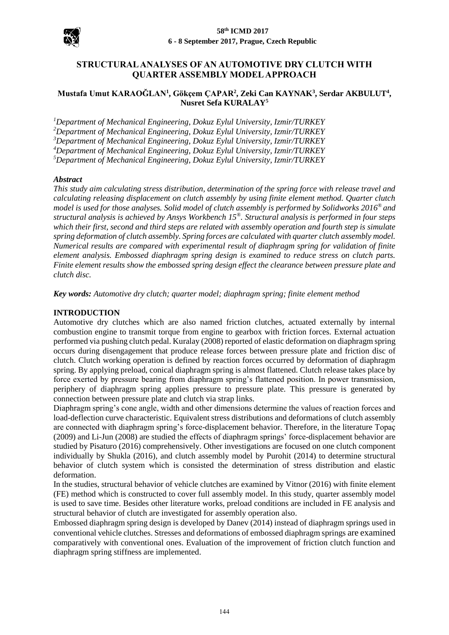

# **STRUCTURAL ANALYSES OF AN AUTOMOTIVE DRY CLUTCH WITH QUARTER ASSEMBLY MODEL APPROACH**

### **Mustafa Umut KARAOĞLAN<sup>1</sup> , Gökçem ÇAPAR<sup>2</sup> , Zeki Can KAYNAK<sup>3</sup> , Serdar AKBULUT<sup>4</sup> , Nusret Sefa KURALAY<sup>5</sup>**

*Department of Mechanical Engineering, Dokuz Eylul University, Izmir/TURKEY Department of Mechanical Engineering, Dokuz Eylul University, Izmir/TURKEY Department of Mechanical Engineering, Dokuz Eylul University, Izmir/TURKEY Department of Mechanical Engineering, Dokuz Eylul University, Izmir/TURKEY Department of Mechanical Engineering, Dokuz Eylul University, Izmir/TURKEY*

#### *Abstract*

*This study aim calculating stress distribution, determination of the spring force with release travel and calculating releasing displacement on clutch assembly by using finite element method. Quarter clutch model is used for those analyses. Solid model of clutch assembly is performed by Solidworks 2016® and structural analysis is achieved by Ansys Workbench 15® . Structural analysis is performed in four steps which their first, second and third steps are related with assembly operation and fourth step is simulate spring deformation of clutch assembly. Spring forces are calculated with quarter clutch assembly model. Numerical results are compared with experimental result of diaphragm spring for validation of finite element analysis. Embossed diaphragm spring design is examined to reduce stress on clutch parts. Finite element results show the embossed spring design effect the clearance between pressure plate and clutch disc.* 

*Key words: Automotive dry clutch; quarter model; diaphragm spring; finite element method*

#### **INTRODUCTION**

Automotive dry clutches which are also named friction clutches, actuated externally by internal combustion engine to transmit torque from engine to gearbox with friction forces. External actuation performed via pushing clutch pedal. Kuralay (2008) reported of elastic deformation on diaphragm spring occurs during disengagement that produce release forces between pressure plate and friction disc of clutch. Clutch working operation is defined by reaction forces occurred by deformation of diaphragm spring. By applying preload, conical diaphragm spring is almost flattened. Clutch release takes place by force exerted by pressure bearing from diaphragm spring's flattened position. In power transmission, periphery of diaphragm spring applies pressure to pressure plate. This pressure is generated by connection between pressure plate and clutch via strap links.

Diaphragm spring's cone angle, width and other dimensions determine the values of reaction forces and load-deflection curve characteristic. Equivalent stress distributions and deformations of clutch assembly are connected with diaphragm spring's force-displacement behavior. Therefore, in the literature Topaç (2009) and Li-Jun (2008) are studied the effects of diaphragm springs' force-displacement behavior are studied by Pisaturo (2016) comprehensively. Other investigations are focused on one clutch component individually by Shukla (2016), and clutch assembly model by Purohit (2014) to determine structural behavior of clutch system which is consisted the determination of stress distribution and elastic deformation.

In the studies, structural behavior of vehicle clutches are examined by Vitnor (2016) with finite element (FE) method which is constructed to cover full assembly model. In this study, quarter assembly model is used to save time. Besides other literature works, preload conditions are included in FE analysis and structural behavior of clutch are investigated for assembly operation also.

Embossed diaphragm spring design is developed by Danev (2014) instead of diaphragm springs used in conventional vehicle clutches. Stresses and deformations of embossed diaphragm springs are examined comparatively with conventional ones. Evaluation of the improvement of friction clutch function and diaphragm spring stiffness are implemented.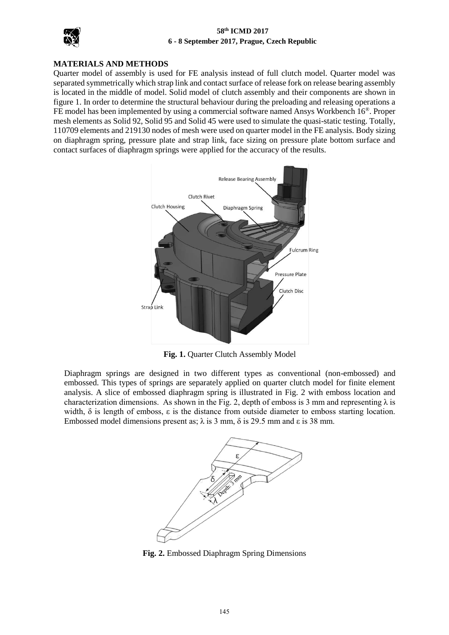

## **MATERIALS AND METHODS**

Quarter model of assembly is used for FE analysis instead of full clutch model. Quarter model was separated symmetrically which strap link and contact surface of release fork on release bearing assembly is located in the middle of model. Solid model of clutch assembly and their components are shown in figure 1. In order to determine the structural behaviour during the preloading and releasing operations a FE model has been implemented by using a commercial software named Ansys Workbench 16®. Proper mesh elements as Solid 92, Solid 95 and Solid 45 were used to simulate the quasi-static testing. Totally, 110709 elements and 219130 nodes of mesh were used on quarter model in the FE analysis. Body sizing on diaphragm spring, pressure plate and strap link, face sizing on pressure plate bottom surface and contact surfaces of diaphragm springs were applied for the accuracy of the results.



**Fig. 1.** Quarter Clutch Assembly Model

Diaphragm springs are designed in two different types as conventional (non-embossed) and embossed. This types of springs are separately applied on quarter clutch model for finite element analysis. A slice of embossed diaphragm spring is illustrated in Fig. 2 with emboss location and characterization dimensions. As shown in the Fig. 2, depth of emboss is 3 mm and representing  $\lambda$  is width,  $\delta$  is length of emboss,  $\varepsilon$  is the distance from outside diameter to emboss starting location. Embossed model dimensions present as;  $λ$  is 3 mm,  $δ$  is 29.5 mm and  $ε$  is 38 mm.



**Fig. 2.** Embossed Diaphragm Spring Dimensions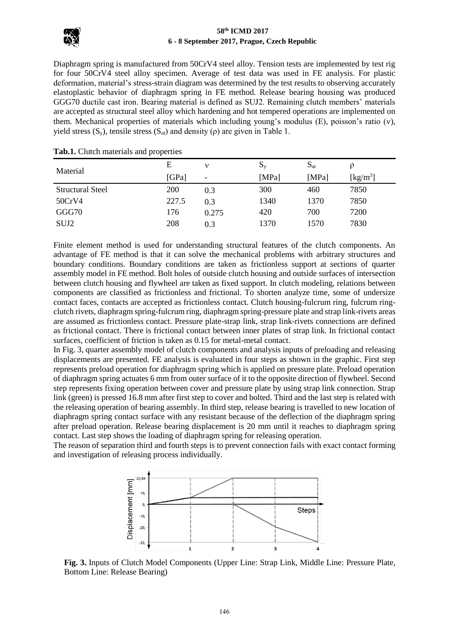

Diaphragm spring is manufactured from 50CrV4 steel alloy. Tension tests are implemented by test rig for four 50CrV4 steel alloy specimen. Average of test data was used in FE analysis. For plastic deformation, material's stress-strain diagram was determined by the test results to observing accurately elastoplastic behavior of diaphragm spring in FE method. Release bearing housing was produced GGG70 ductile cast iron. Bearing material is defined as SUJ2. Remaining clutch members' materials are accepted as structural steel alloy which hardening and hot tempered operations are implemented on them. Mechanical properties of materials which including young's modulus  $(E)$ , poisson's ratio  $(v)$ , yield stress  $(S_y)$ , tensile stress  $(S_u)$  and density (ρ) are given in Table 1.

| Material                | E     |                 | $S_{y}$ | $S_{\rm ut}$ |                                |
|-------------------------|-------|-----------------|---------|--------------|--------------------------------|
|                         | [GPa] | $\qquad \qquad$ | [MPa]   | [MPa]        | $\left[\mathrm{kg/m^3}\right]$ |
| <b>Structural Steel</b> | 200   | 0.3             | 300     | 460          | 7850                           |
| 50CrV4                  | 227.5 | 0.3             | 1340    | 1370         | 7850                           |
| GGG70                   | 176   | 0.275           | 420     | 700          | 7200                           |
| SUJ2                    | 208   | 0.3             | 1370    | 1570         | 7830                           |

#### **Tab.1.** Clutch materials and properties

Finite element method is used for understanding structural features of the clutch components. An advantage of FE method is that it can solve the mechanical problems with arbitrary structures and boundary conditions. Boundary conditions are taken as frictionless support at sections of quarter assembly model in FE method. Bolt holes of outside clutch housing and outside surfaces of intersection between clutch housing and flywheel are taken as fixed support. In clutch modeling, relations between components are classified as frictionless and frictional. To shorten analyze time, some of undersize contact faces, contacts are accepted as frictionless contact. Clutch housing-fulcrum ring, fulcrum ringclutch rivets, diaphragm spring-fulcrum ring, diaphragm spring-pressure plate and strap link-rivets areas are assumed as frictionless contact. Pressure plate-strap link, strap link-rivets connections are defined as frictional contact. There is frictional contact between inner plates of strap link. In frictional contact surfaces, coefficient of friction is taken as 0.15 for metal-metal contact.

In Fig. 3, quarter assembly model of clutch components and analysis inputs of preloading and releasing displacements are presented. FE analysis is evaluated in four steps as shown in the graphic. First step represents preload operation for diaphragm spring which is applied on pressure plate. Preload operation of diaphragm spring actuates 6 mm from outer surface of it to the opposite direction of flywheel. Second step represents fixing operation between cover and pressure plate by using strap link connection. Strap link (green) is pressed 16.8 mm after first step to cover and bolted. Third and the last step is related with the releasing operation of bearing assembly. In third step, release bearing is travelled to new location of diaphragm spring contact surface with any resistant because of the deflection of the diaphragm spring after preload operation. Release bearing displacement is 20 mm until it reaches to diaphragm spring contact. Last step shows the loading of diaphragm spring for releasing operation.

The reason of separation third and fourth steps is to prevent connection fails with exact contact forming and investigation of releasing process individually.



**Fig. 3.** Inputs of Clutch Model Components (Upper Line: Strap Link, Middle Line: Pressure Plate, Bottom Line: Release Bearing)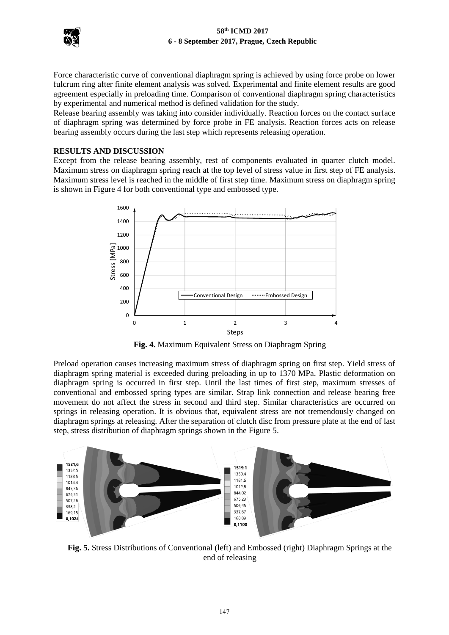

Force characteristic curve of conventional diaphragm spring is achieved by using force probe on lower fulcrum ring after finite element analysis was solved. Experimental and finite element results are good agreement especially in preloading time. Comparison of conventional diaphragm spring characteristics by experimental and numerical method is defined validation for the study.

Release bearing assembly was taking into consider individually. Reaction forces on the contact surface of diaphragm spring was determined by force probe in FE analysis. Reaction forces acts on release bearing assembly occurs during the last step which represents releasing operation.

### **RESULTS AND DISCUSSION**

Except from the release bearing assembly, rest of components evaluated in quarter clutch model. Maximum stress on diaphragm spring reach at the top level of stress value in first step of FE analysis. Maximum stress level is reached in the middle of first step time. Maximum stress on diaphragm spring is shown in Figure 4 for both conventional type and embossed type.



**Fig. 4.** Maximum Equivalent Stress on Diaphragm Spring

Preload operation causes increasing maximum stress of diaphragm spring on first step. Yield stress of diaphragm spring material is exceeded during preloading in up to 1370 MPa. Plastic deformation on diaphragm spring is occurred in first step. Until the last times of first step, maximum stresses of conventional and embossed spring types are similar. Strap link connection and release bearing free movement do not affect the stress in second and third step. Similar characteristics are occurred on springs in releasing operation. It is obvious that, equivalent stress are not tremendously changed on diaphragm springs at releasing. After the separation of clutch disc from pressure plate at the end of last step, stress distribution of diaphragm springs shown in the Figure 5.



**Fig. 5.** Stress Distributions of Conventional (left) and Embossed (right) Diaphragm Springs at the end of releasing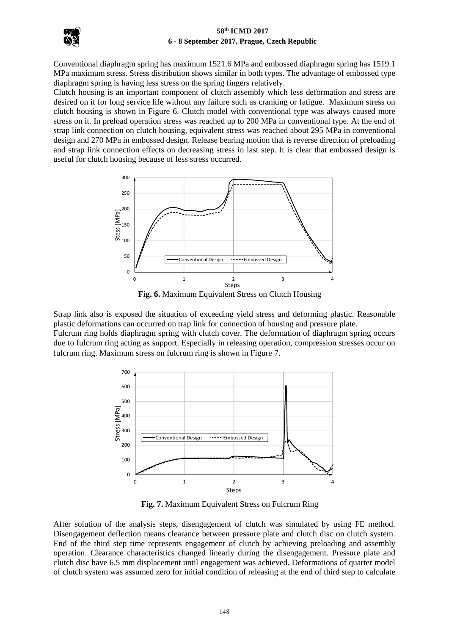

Conventional diaphragm spring has maximum 1521.6 MPa and embossed diaphragm spring has 1519.1 MPa maximum stress. Stress distribution shows similar in both types. The advantage of embossed type diaphragm spring is having less stress on the spring fingers relatively.

Clutch housing is an important component of clutch assembly which less deformation and stress are desired on it for long service life without any failure such as cranking or fatigue. Maximum stress on clutch housing is shown in Figure 6. Clutch model with conventional type was always caused more stress on it. In preload operation stress was reached up to 200 MPa in conventional type. At the end of strap link connection on clutch housing, equivalent stress was reached about 295 MPa in conventional design and 270 MPa in embossed design. Release bearing motion that is reverse direction of preloading and strap link connection effects on decreasing stress in last step. It is clear that embossed design is useful for clutch housing because of less stress occurred.



**Fig. 6.** Maximum Equivalent Stress on Clutch Housing

Strap link also is exposed the situation of exceeding yield stress and deforming plastic. Reasonable plastic deformations can occurred on trap link for connection of housing and pressure plate. Fulcrum ring holds diaphragm spring with clutch cover. The deformation of diaphragm spring occurs due to fulcrum ring acting as support. Especially in releasing operation, compression stresses occur on fulcrum ring. Maximum stress on fulcrum ring is shown in Figure 7.



**Fig. 7.** Maximum Equivalent Stress on Fulcrum Ring

After solution of the analysis steps, disengagement of clutch was simulated by using FE method. Disengagement deflection means clearance between pressure plate and clutch disc on clutch system. End of the third step time represents engagement of clutch by achieving preloading and assembly operation. Clearance characteristics changed linearly during the disengagement. Pressure plate and clutch disc have 6.5 mm displacement until engagement was achieved. Deformations of quarter model of clutch system was assumed zero for initial condition of releasing at the end of third step to calculate